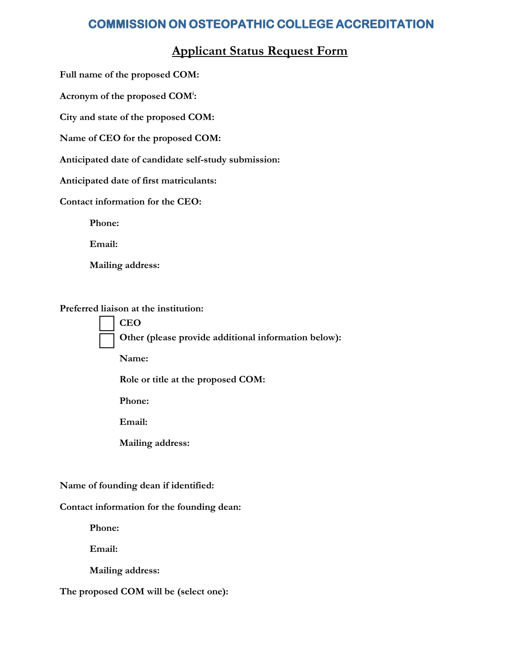## **COMMISSION ON OSTEOPATHIC COLLEGE ACCREDITATION**

## **Applicant Status Request Form**

**Full name of the proposed COM:**

**Acronym of the proposed COM<sup>i</sup> :**

**City and state of the proposed COM:**

**Name of CEO for the proposed COM:**

**Anticipated date of candidate self-study submission:**

**Anticipated date of first matriculants:**

**Contact information for the CEO:**

**Phone:** 

**Email:**

**Mailing address:**

**Preferred liaison at the institution:**

• **CEO** • **Other (please provide additional information below):** 

**Name:**

**Role or title at the proposed COM:**

**Phone:** 

**Email:** 

**Mailing address:** 

**Name of founding dean if identified:**

**Contact information for the founding dean:**

**Phone:** 

**Email:**

**Mailing address:**

**The proposed COM will be (select one):**